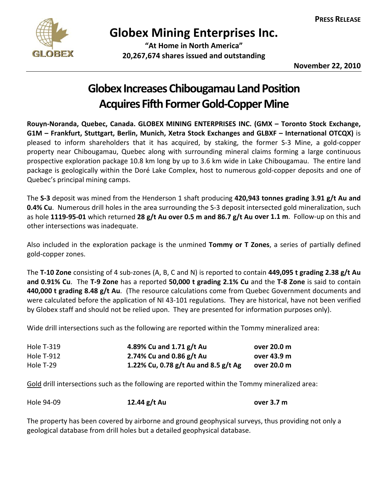

## **Globex Mining Enterprises Inc.**

 **"At Home in North America" 20,267,674 shares issued and outstanding**

## **Globex Increases Chibougamau Land Position Acquires Fifth Former Gold-Copper Mine**

**Rouyn‐Noranda, Quebec, Canada. GLOBEX MINING ENTERPRISES INC. (GMX – Toronto Stock Exchange, G1M – Frankfurt, Stuttgart, Berlin, Munich, Xetra Stock Exchanges and GLBXF – International OTCQX)** is pleased to inform shareholders that it has acquired, by staking, the former S‐3 Mine, a gold‐copper property near Chibougamau, Quebec along with surrounding mineral claims forming a large continuous prospective exploration package 10.8 km long by up to 3.6 km wide in Lake Chibougamau. The entire land package is geologically within the Doré Lake Complex, host to numerous gold‐copper deposits and one of Quebec's principal mining camps.

The **S‐3** deposit was mined from the Henderson 1 shaft producing **420,943 tonnes grading 3.91 g/t Au and 0.4% Cu**. Numerous drill holes in the area surrounding the S‐3 deposit intersected gold mineralization, such as hole 1119-95-01 which returned 28  $g/t$  Au over 0.5 m and 86.7  $g/t$  Au over 1.1 m. Follow-up on this and other intersections was inadequate.

Also included in the exploration package is the unmined **Tommy or T Zones**, a series of partially defined gold‐copper zones.

The **T‐10 Zone** consisting of 4 sub‐zones (A, B, C and N) is reported to contain **449,095 t grading 2.38 g/t Au and 0.91% Cu**. The **T‐9 Zone** has a reported **50,000 t grading 2.1% Cu** and the **T‐8 Zone** is said to contain **440,000 t grading 8.48 g/t Au**. (The resource calculations come from Quebec Government documents and were calculated before the application of NI 43-101 regulations. They are historical, have not been verified by Globex staff and should not be relied upon. They are presented for information purposes only).

Wide drill intersections such as the following are reported within the Tommy mineralized area:

| <b>Hole T-319</b> | 4.89% Cu and 1.71 $g/t$ Au               | over 20.0 m |
|-------------------|------------------------------------------|-------------|
| Hole T-912        | 2.74% Cu and 0.86 $g/t$ Au               | over 43.9 m |
| Hole T-29         | 1.22% Cu, 0.78 $g/t$ Au and 8.5 $g/t$ Ag | over 20.0 m |

Gold drill intersections such as the following are reported within the Tommy mineralized area:

| Hole 94-09 | 12.44 $g/t$ Au | over 3.7 m |
|------------|----------------|------------|
|------------|----------------|------------|

The property has been covered by airborne and ground geophysical surveys, thus providing not only a geological database from drill holes but a detailed geophysical database.